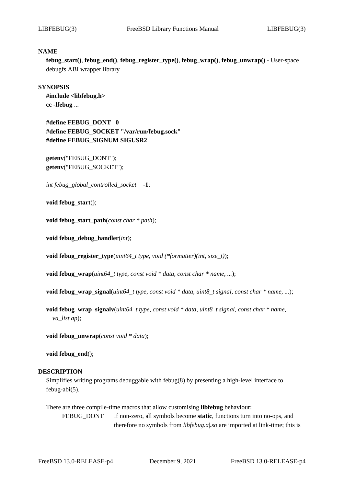#### **NAME**

**febug***\_***start()**, **febug***\_***end()**, **febug***\_***register***\_***type()**, **febug***\_***wrap()**, **febug***\_***unwrap()** - User-space debugfs ABI wrapper library

#### **SYNOPSIS**

**#include <libfebug.h> cc -lfebug** ...

**#define FEBUG***\_***DONT 0 #define FEBUG***\_***SOCKET "/var/run/febug.sock" #define FEBUG***\_***SIGNUM SIGUSR2**

**getenv**("FEBUG\_DONT"); **getenv**("FEBUG\_SOCKET");

*int febug\_global\_controlled\_socket* = **-1**;

**void febug***\_***start**();

**void febug***\_***start***\_***path**(*const char \* path*);

**void febug***\_***debug***\_***handler**(*int*);

**void febug***\_***register***\_***type**(*uint64\_t type*, *void (\*formatter)(int, size\_t)*);

**void febug***\_***wrap**(*uint64\_t type*, *const void \* data*, *const char \* name*, *...*);

**void febug***\_***wrap***\_***signal**(*uint64\_t type*, *const void \* data*, *uint8\_t signal*, *const char \* name*, *...*);

**void febug***\_***wrap***\_***signalv**(*uint64\_t type*, *const void \* data*, *uint8\_t signal*, *const char \* name*, *va\_list ap*);

**void febug***\_***unwrap**(*const void \* data*);

**void febug***\_***end**();

#### **DESCRIPTION**

Simplifies writing programs debuggable with febug(8) by presenting a high-level interface to febug-abi(5).

There are three compile-time macros that allow customising **libfebug** behaviour: FEBUG\_DONT If non-zero, all symbols become **static**, functions turn into no-ops, and therefore no symbols from *libfebug.a*|*.so* are imported at link-time; this is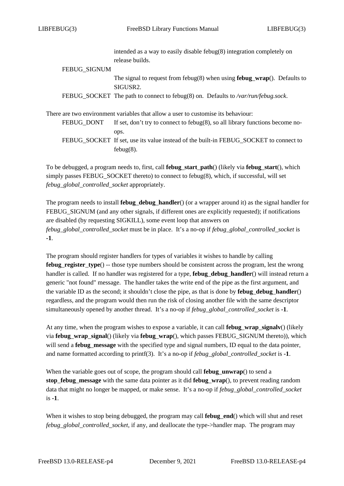|                     | intended as a way to easily disable febug $(8)$ integration completely on                                 |
|---------------------|-----------------------------------------------------------------------------------------------------------|
|                     | release builds.                                                                                           |
| <b>FEBUG SIGNUM</b> |                                                                                                           |
|                     | The signal to request from febug(8) when using <b>febug_wrap</b> (). Defaults to<br>SIGUSR <sub>2</sub> . |
|                     | FEBUG_SOCKET The path to connect to febug(8) on. Defaults to /var/run/febug.sock.                         |
|                     | There are two environment variables that allow a user to customise its behaviour:                         |
| FEBUG_DONT          | If set, don't try to connect to febug $(8)$ , so all library functions become no-                         |
|                     | ops.                                                                                                      |
|                     | FEBUG_SOCKET If set, use its value instead of the built-in FEBUG_SOCKET to connect to                     |

To be debugged, a program needs to, first, call **febug***\_***start***\_***path**() (likely via **febug***\_***start**(), which simply passes FEBUG\_SOCKET thereto) to connect to febug(8), which, if successful, will set *febug\_global\_controlled\_socket* appropriately.

febug(8).

The program needs to install **febug***\_***debug***\_***handler**() (or a wrapper around it) as the signal handler for FEBUG\_SIGNUM (and any other signals, if different ones are explicitly requested); if notifications are disabled (by requesting SIGKILL), some event loop that answers on *febug\_global\_controlled\_socket* must be in place. It's a no-op if *febug\_global\_controlled\_socket* is **-1**.

The program should register handlers for types of variables it wishes to handle by calling **febug***\_***register***\_***type**() -- those type numbers should be consistent across the program, lest the wrong handler is called. If no handler was registered for a type, **febug***\_***debug***\_***handler**() will instead return a generic "not found" message. The handler takes the write end of the pipe as the first argument, and the variable ID as the second; it shouldn't close the pipe, as that is done by **febug***\_***debug***\_***handler**() regardless, and the program would then run the risk of closing another file with the same descriptor simultaneously opened by another thread. It's a no-op if *febug\_global\_controlled\_socket* is **-1**.

At any time, when the program wishes to expose a variable, it can call **febug***\_***wrap***\_***signalv**() (likely via **febug***\_***wrap***\_***signal**() (likely via **febug***\_***wrap**(), which passes FEBUG\_SIGNUM thereto)), which will send a **febug***\_***message** with the specified type and signal numbers, ID equal to the data pointer, and name formatted according to printf(3). It's a no-op if *febug\_global\_controlled\_socket* is **-1**.

When the variable goes out of scope, the program should call **febug***\_***unwrap**() to send a **stop***\_***febug***\_***message** with the same data pointer as it did **febug***\_***wrap**(), to prevent reading random data that might no longer be mapped, or make sense. It's a no-op if *febug\_global\_controlled\_socket* is **-1**.

When it wishes to stop being debugged, the program may call **febug***\_***end**() which will shut and reset *febug\_global\_controlled\_socket*, if any, and deallocate the type->handler map. The program may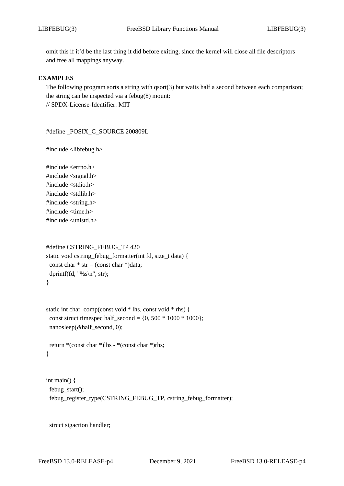omit this if it'd be the last thing it did before exiting, since the kernel will close all file descriptors and free all mappings anyway.

### **EXAMPLES**

The following program sorts a string with  $qsort(3)$  but waits half a second between each comparison; the string can be inspected via a febug(8) mount: // SPDX-License-Identifier: MIT

#define \_POSIX\_C\_SOURCE 200809L

#include <libfebug.h>

#include <errno.h> #include <signal.h> #include <stdio.h> #include <stdlib.h> #include <string.h> #include <time.h> #include <unistd.h>

```
#define CSTRING_FEBUG_TP 420
static void cstring_febug_formatter(int fd, size_t data) {
 const char * str = (const char *)data;
 dprintf(fd, "%s \nightharpoonup", str);
}
```

```
static int char_comp(const void * lhs, const void * rhs) {
 const struct timespec half_second = \{0, 500 * 1000 * 1000\};
 nanosleep(&half_second, 0);
```

```
return *(const char *)lhs - *(const char *)rhs;
}
```

```
int main() {
 febug_start();
 febug_register_type(CSTRING_FEBUG_TP, cstring_febug_formatter);
```
struct sigaction handler;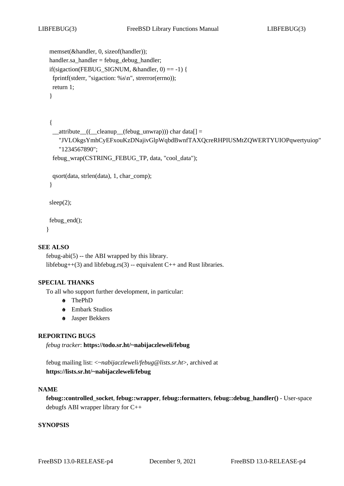```
memset(&handler, 0, sizeof(handler));
handler.sa_handler = febug_debug_handler;
if(sigaction(FEBUG_SIGNUM, &handler, 0) == -1) {
fprintf(stderr, "sigaction: %s\n", strerror(errno));
return 1;
```
}

{

}

```
__attribute__((__cleanup__(febug_unwrap))) char data[] =
  "JVLOkgsYmhCyEFxouKzDNajivGlpWqbdBwnfTAXQcreRHPIUSMtZQWERTYUIOPqwertyuiop"
  "1234567890";
febug_wrap(CSTRING_FEBUG_TP, data, "cool_data");
qsort(data, strlen(data), 1, char_comp);
```
sleep(2);

febug\_end(); }

## **SEE ALSO**

febug-abi $(5)$  -- the ABI wrapped by this library. libfebug++(3) and libfebug.rs(3) -- equivalent  $C++$  and Rust libraries.

#### **SPECIAL THANKS**

To all who support further development, in particular:

- **+o** ThePhD
- **+o** Embark Studios
- **+o** Jasper Bekkers

## **REPORTING BUGS**

*febug tracker*: **https://todo.sr.ht/~nabijaczleweli/febug**

febug mailing list: <*~nabijaczleweli/febug@lists.sr.ht*>, archived at **https://lists.sr.ht/~nabijaczleweli/febug**

### **NAME**

**febug::controlled***\_***socket**, **febug::wrapper**, **febug::formatters**, **febug::debug***\_***handler()** - User-space debugfs ABI wrapper library for C++

### **SYNOPSIS**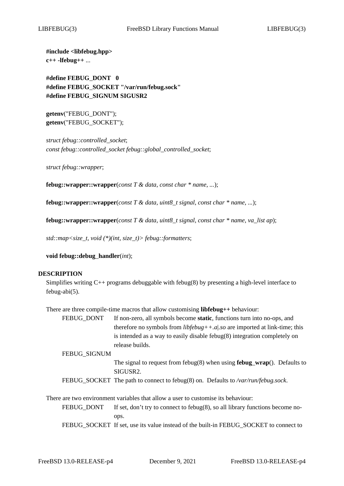**#include <libfebug.hpp> c++ -lfebug++** ...

**#define FEBUG***\_***DONT 0 #define FEBUG***\_***SOCKET "/var/run/febug.sock" #define FEBUG***\_***SIGNUM SIGUSR2**

**getenv**("FEBUG\_DONT"); **getenv**("FEBUG\_SOCKET");

*struct febug::controlled\_socket*; *const febug::controlled\_socket febug::global\_controlled\_socket*;

*struct febug::wrapper*;

**febug::wrapper::wrapper**(*const T & data*, *const char \* name*, *...*);

**febug::wrapper::wrapper**(*const T & data*, *uint8\_t signal*, *const char \* name*, *...*);

**febug::wrapper::wrapper**(*const T & data*, *uint8\_t signal*, *const char \* name*, *va\_list ap*);

*std::map<size\_t, void (\*)(int, size\_t)> febug::formatters*;

**void febug::debug***\_***handler**(*int*);

#### **DESCRIPTION**

Simplifies writing  $C_{++}$  programs debuggable with febug(8) by presenting a high-level interface to febug-abi(5).

There are three compile-time macros that allow customising **libfebug++** behaviour:

FEBUG\_DONT If non-zero, all symbols become **static**, functions turn into no-ops, and therefore no symbols from *libfebug++.a*|*.so* are imported at link-time; this is intended as a way to easily disable febug(8) integration completely on release builds.

FEBUG\_SIGNUM

- The signal to request from febug(8) when using **febug***\_***wrap**(). Defaults to SIGUSR2.
- FEBUG\_SOCKET The path to connect to febug(8) on. Defaults to */var/run/febug.sock*.

There are two environment variables that allow a user to customise its behaviour:

FEBUG\_DONT If set, don't try to connect to febug(8), so all library functions become noops.

FEBUG\_SOCKET If set, use its value instead of the built-in FEBUG\_SOCKET to connect to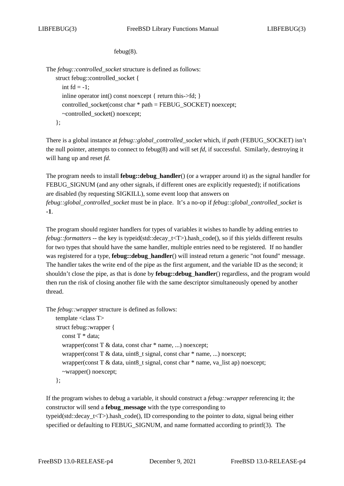febug(8).

The *febug::controlled\_socket* structure is defined as follows: struct febug::controlled\_socket { int  $fd = -1$ ; inline operator int() const noexcept { return this->fd; } controlled socket(const char  $*$  path = FEBUG\_SOCKET) noexcept; ~controlled\_socket() noexcept; };

There is a global instance at *febug::global\_controlled\_socket* which, if *path* (FEBUG\_SOCKET) isn't the null pointer, attempts to connect to febug(8) and will set *fd*, if successful. Similarly, destroying it will hang up and reset *fd*.

The program needs to install **febug::debug***\_***handler**() (or a wrapper around it) as the signal handler for FEBUG SIGNUM (and any other signals, if different ones are explicitly requested); if notifications are disabled (by requesting SIGKILL), some event loop that answers on *febug::global\_controlled\_socket* must be in place. It's a no-op if *febug::global\_controlled\_socket* is **-1**.

The program should register handlers for types of variables it wishes to handle by adding entries to *febug::formatters* -- the key is typeid(std::decay\_t<T>).hash\_code(), so if this yields different results for two types that should have the same handler, multiple entries need to be registered. If no handler was registered for a type, **febug::debug***\_***handler**() will instead return a generic "not found" message. The handler takes the write end of the pipe as the first argument, and the variable ID as the second; it shouldn't close the pipe, as that is done by **febug::debug***\_***handler**() regardless, and the program would then run the risk of closing another file with the same descriptor simultaneously opened by another thread.

The *febug::wrapper* structure is defined as follows:

```
template <class T>
struct febug::wrapper {
  const T * data;
  wrapper(const T & data, const char * name, ...) noexcept;
  wrapper(const T & data, uint8_t signal, const char * name, ...) noexcept;
  wrapper(const T & data, uint8_t signal, const char * name, va_list ap) noexcept;
  ~wrapper() noexcept;
};
```
If the program wishes to debug a variable, it should construct a *febug::wrapper* referencing it; the constructor will send a **febug***\_***message** with the type corresponding to typeid(std::decay\_t<T>).hash\_code(), ID corresponding to the pointer to *data*, signal being either specified or defaulting to FEBUG\_SIGNUM, and name formatted according to printf(3). The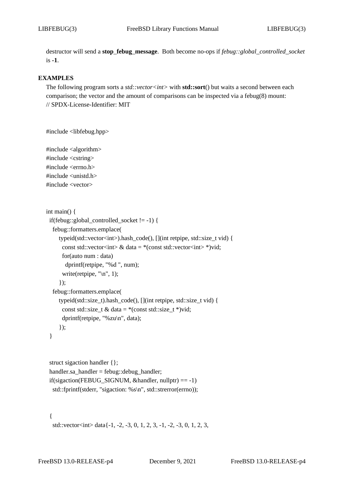destructor will send a **stop***\_***febug***\_***message**. Both become no-ops if *febug::global\_controlled\_socket* is **-1**.

## **EXAMPLES**

The following program sorts a *std::vector<int>* with **std::sort**() but waits a second between each comparison; the vector and the amount of comparisons can be inspected via a febug(8) mount: // SPDX-License-Identifier: MIT

```
#include <libfebug.hpp>
```
#include <algorithm> #include <cstring> #include <errno.h> #include <unistd.h> #include <vector>

```
int main() {
 if(febug::global_controlled_socket != -1) {
  febug::formatters.emplace(
     typeid(std::vector<int>).hash_code(), [](int retpipe, std::size_t vid) {
       const std::vector<int> & data = *(const std::vector<int> *)vid;
       for(auto num : data)
        dprintf(retpipe, "%d ", num);
       write(retpipe, \lceil \ln \rceil, 1);
     });
  febug::formatters.emplace(
     typeid(std::size_t).hash_code(), [](int retpipe, std::size_t vid) {
       const std::size_t & data = *(\text{const} \cdot \text{std}:\text{size}\_\text{t}^*)\text{vid};dprintf(retpipe, "%zu\n", data);
     });
 }
```

```
struct sigaction handler {};
handler.sa_handler = febug::debug_handler;
if(sigaction(FEBUG_SIGNUM, &handler, nullptr) == -1)
 std::fprintf(stderr, "sigaction: %s\n", std::strerror(errno));
```
{

```
std::vector<int> data\{-1, -2, -3, 0, 1, 2, 3, -1, -2, -3, 0, 1, 2, 3,
```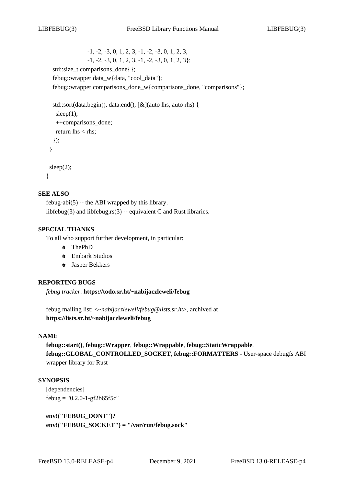-1, -2, -3, 0, 1, 2, 3, -1, -2, -3, 0, 1, 2, 3,  $-1, -2, -3, 0, 1, 2, 3, -1, -2, -3, 0, 1, 2, 3$ std::size\_t comparisons\_done{}; febug::wrapper data\_w{data, "cool\_data"}; febug::wrapper comparisons\_done\_w{comparisons\_done, "comparisons"};

```
std::sort(data.begin(), data.end(), [&](auto lhs, auto rhs) {
  sleep(1);
  ++comparisons_done;
  return \text{lns} < \text{rhs};
 });
}
sleep(2);
```
### }

## **SEE ALSO**

febug-abi(5) -- the ABI wrapped by this library. libfebug(3) and libfebug,rs(3) -- equivalent C and Rust libraries.

## **SPECIAL THANKS**

To all who support further development, in particular:

- **+o** ThePhD
- **+o** Embark Studios
- **+o** Jasper Bekkers

#### **REPORTING BUGS**

*febug tracker*: **https://todo.sr.ht/~nabijaczleweli/febug**

febug mailing list: <*~nabijaczleweli/febug@lists.sr.ht*>, archived at **https://lists.sr.ht/~nabijaczleweli/febug**

## **NAME**

**febug::start()**, **febug::Wrapper**, **febug::Wrappable**, **febug::StaticWrappable**, **febug::GLOBAL***\_***CONTROLLED***\_***SOCKET**, **febug::FORMATTERS** - User-space debugfs ABI wrapper library for Rust

### **SYNOPSIS**

[dependencies]  $febug = "0.2.0-1-gf2b65f5c"$ 

**env!("FEBUG***\_***DONT")? env!("FEBUG***\_***SOCKET") = "/var/run/febug.sock"**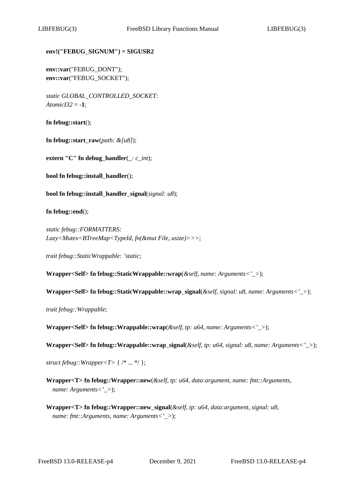## **env!("FEBUG***\_***SIGNUM") = SIGUSR2**

**env::var**("FEBUG\_DONT"); **env::var**("FEBUG\_SOCKET");

*static GLOBAL\_CONTROLLED\_SOCKET: AtomicI32* = **-1**;

**fn febug::start**();

**fn febug::start***\_***raw**(*path: &[u8]*);

**extern "C" fn debug***\_***handler**(*\_: c\_int*);

**bool fn febug::install***\_***handler**();

**bool fn febug::install***\_***handler***\_***signal**(*signal: u8*);

**fn febug::end**();

*static febug::FORMATTERS: Lazy<Mutex<BTreeMap<TypeId, fn(&mut File, usize)>>>*;

*trait febug::StaticWrappable: 'static*;

**Wrapper<Self> fn febug::StaticWrappable::wrap**(*&self*, *name: Arguments<'\_>*);

**Wrapper<Self> fn febug::StaticWrappable::wrap***\_***signal**(*&self*, *signal: u8*, *name: Arguments<'\_>*);

*trait febug::Wrappable*;

**Wrapper<Self> fn febug::Wrappable::wrap**(*&self*, *tp: u64*, *name: Arguments<'\_>*);

**Wrapper<Self> fn febug::Wrappable::wrap***\_***signal**(*&self*, *tp: u64*, *signal: u8*, *name: Arguments<'\_>*);

*struct febug::Wrapper<T>* { /\* ... \*/ };

**Wrapper<T> fn febug::Wrapper::new**(*&self*, *tp: u64*, *data:argument*, *name: fmt::Arguments*, *name: Arguments<'\_>*);

**Wrapper<T> fn febug::Wrapper::new***\_***signal**(*&self*, *tp: u64*, *data:argument*, *signal: u8*, *name: fmt::Arguments*, *name: Arguments<'\_>*);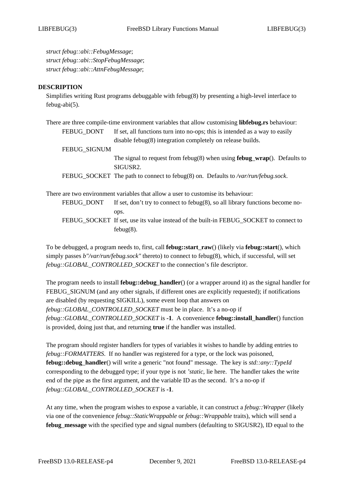*struct febug::abi::FebugMessage*; *struct febug::abi::StopFebugMessage*; *struct febug::abi::AttnFebugMessage*;

#### **DESCRIPTION**

Simplifies writing Rust programs debuggable with febug(8) by presenting a high-level interface to febug-abi(5).

| There are three compile-time environment variables that allow customising libfebug.rs behaviour:   |  |
|----------------------------------------------------------------------------------------------------|--|
| If set, all functions turn into no-ops; this is intended as a way to easily                        |  |
| disable febug $(8)$ integration completely on release builds.                                      |  |
| FEBUG_SIGNUM                                                                                       |  |
| The signal to request from febug $(8)$ when using <b>febug_wrap</b> $()$ . Defaults to<br>SIGUSR2. |  |
| FEBUG_SOCKET The path to connect to febug(8) on. Defaults to /var/run/febug.sock.                  |  |
| There are two environment variables that allow a user to customise its behaviour:                  |  |
| If set, don't try to connect to febug $(8)$ , so all library functions become no-<br>ops.          |  |
|                                                                                                    |  |

FEBUG\_SOCKET If set, use its value instead of the built-in FEBUG\_SOCKET to connect to febug(8).

To be debugged, a program needs to, first, call **febug::start***\_***raw**() (likely via **febug::start**(), which simply passes *b"/var/run/febug.sock"* thereto) to connect to febug(8), which, if successful, will set *febug::GLOBAL\_CONTROLLED\_SOCKET* to the connection's file descriptor.

The program needs to install **febug::debug***\_***handler**() (or a wrapper around it) as the signal handler for FEBUG SIGNUM (and any other signals, if different ones are explicitly requested); if notifications are disabled (by requesting SIGKILL), some event loop that answers on *febug::GLOBAL\_CONTROLLED\_SOCKET* must be in place. It's a no-op if *febug::GLOBAL\_CONTROLLED\_SOCKET* is **-1**. A convenience **febug::install***\_***handler**() function is provided, doing just that, and returning **true** if the handler was installed.

The program should register handlers for types of variables it wishes to handle by adding entries to *febug::FORMATTERS*. If no handler was registered for a type, or the lock was poisoned, **febug::debug***\_***handler**() will write a generic "not found" message. The key is *std::any::TypeId* corresponding to the debugged type; if your type is not *'static*, lie here. The handler takes the write end of the pipe as the first argument, and the variable ID as the second. It's a no-op if *febug::GLOBAL\_CONTROLLED\_SOCKET* is **-1**.

At any time, when the program wishes to expose a variable, it can construct a *febug::Wrapper* (likely via one of the convenience *febug::StaticWrappable* or *febug::Wrappable* traits), which will send a **febug***\_***message** with the specified type and signal numbers (defaulting to SIGUSR2), ID equal to the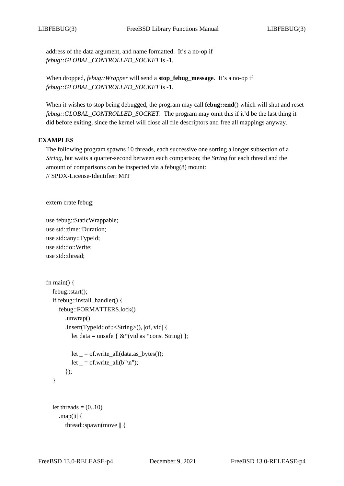address of the data argument, and name formatted. It's a no-op if *febug::GLOBAL\_CONTROLLED\_SOCKET* is **-1**.

When dropped, *febug::Wrapper* will send a **stop***\_***febug***\_***message**. It's a no-op if *febug::GLOBAL\_CONTROLLED\_SOCKET* is **-1**.

When it wishes to stop being debugged, the program may call **febug::end**() which will shut and reset *febug::GLOBAL\_CONTROLLED\_SOCKET*. The program may omit this if it'd be the last thing it did before exiting, since the kernel will close all file descriptors and free all mappings anyway.

# **EXAMPLES**

The following program spawns 10 threads, each successive one sorting a longer subsection of a *String*, but waits a quarter-second between each comparison; the *String* for each thread and the amount of comparisons can be inspected via a febug(8) mount: // SPDX-License-Identifier: MIT

extern crate febug;

use febug::StaticWrappable; use std::time::Duration; use std::any::TypeId; use std::io::Write; use std::thread;

```
fn main() \{febug::start();
  if febug::install_handler() {
     febug::FORMATTERS.lock()
       .unwrap()
       .insert(TypeId::of::<String>(), |of, vid| {
          let data = unsafe { &*(vid as *const String) };
         let = of.write_all(data.as_bytes());
         let = of.write_all(b"\n^n);});
  }
  let threads =(0..10).map(|i| {
       thread::spawn(move || {
```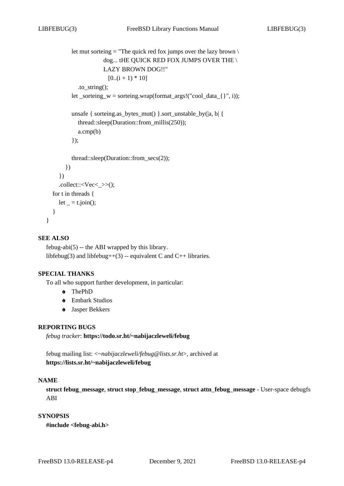```
let mut sorteing = "The quick red fox jumps over the lazy brown \setminusdog... tHE QUICK RED FOX JUMPS OVER THE \
                   LAZY BROWN DOG!!"
                      [0..(i + 1) * 10].to_string();
       let _sorteing_w = sorteing.wrap(format_args!("cool_data_{}", i));
       unsafe { sorteing.as_bytes_mut() }.sort_unstable_by(|a, b| {
         thread::sleep(Duration::from_millis(250));
         a.cmp(b)
       \}:
       thread::sleep(Duration::from_secs(2));
     })
  })
  .collect::\langle Vec \rangle:
for t in threads {
  let = t.join();
```
## **SEE ALSO**

} }

febug-abi $(5)$  -- the ABI wrapped by this library. libfebug(3) and libfebug++(3) -- equivalent C and C++ libraries.

## **SPECIAL THANKS**

To all who support further development, in particular:

- **+o** ThePhD
- **+o** Embark Studios
- **+o** Jasper Bekkers

## **REPORTING BUGS**

*febug tracker*: **https://todo.sr.ht/~nabijaczleweli/febug**

febug mailing list: <*~nabijaczleweli/febug@lists.sr.ht*>, archived at **https://lists.sr.ht/~nabijaczleweli/febug**

#### **NAME**

**struct febug***\_***message**, **struct stop***\_***febug***\_***message**, **struct attn***\_***febug***\_***message** - User-space debugfs ABI

## **SYNOPSIS**

**#include <febug-abi.h>**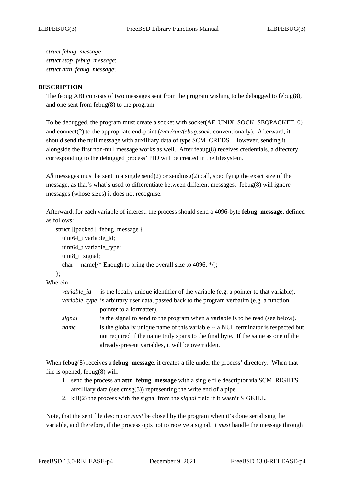*struct febug\_message*; *struct stop\_febug\_message*; *struct attn\_febug\_message*;

### **DESCRIPTION**

The febug ABI consists of two messages sent from the program wishing to be debugged to febug(8), and one sent from febug(8) to the program.

To be debugged, the program must create a socket with socket(AF\_UNIX, SOCK\_SEQPACKET, 0) and connect(2) to the appropriate end-point (*/var/run/febug.sock*, conventionally). Afterward, it should send the null message with auxilliary data of type SCM\_CREDS. However, sending it alongside the first non-null message works as well. After febug(8) receives credentials, a directory corresponding to the debugged process' PID will be created in the filesystem.

*All* messages must be sent in a single send(2) or sendmsg(2) call, specifying the exact size of the message, as that's what's used to differentiate between different messages. febug(8) will ignore messages (whose sizes) it does not recognise.

Afterward, for each variable of interest, the process should send a 4096-byte **febug***\_***message**, defined as follows:

```
struct [[packed]] febug_message {
  uint64_t variable_id;
  uint64_t variable_type;
  uint8_t signal;
  char name[/* Enough to bring the overall size to 4096. */];
```
};

Wherein *variable\_id* is the locally unique identifier of the variable (e.g. a pointer to that variable). *variable\_type* is arbitrary user data, passed back to the program verbatim (e.g. a function pointer to a formatter). *signal* is the signal to send to the program when a variable is to be read (see below).

*name* is the globally unique name of this variable -- a NUL terminator is respected but not required if the name truly spans to the final byte. If the same as one of the already-present variables, it will be overridden.

When febug(8) receives a **febug***\_***message**, it creates a file under the process' directory. When that file is opened, febug(8) will:

- 1. send the process an **attn***\_***febug***\_***message** with a single file descriptor via SCM\_RIGHTS auxilliary data (see cmsg(3)) representing the write end of a pipe.
- 2. kill(2) the process with the signal from the *signal* field if it wasn't SIGKILL.

Note, that the sent file descriptor *must* be closed by the program when it's done serialising the variable, and therefore, if the process opts not to receive a signal, it *must* handle the message through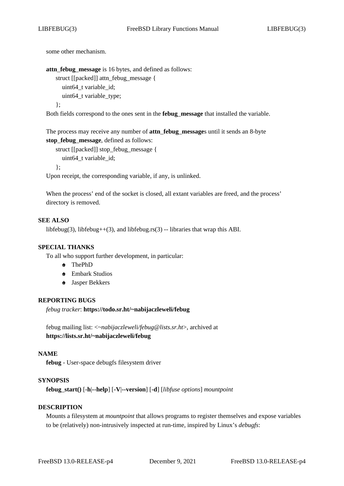some other mechanism.

**attn***\_***febug***\_***message** is 16 bytes, and defined as follows: struct [[packed]] attn\_febug\_message { uint64 t variable id; uint64\_t variable\_type; };

Both fields correspond to the ones sent in the **febug***\_***message** that installed the variable.

The process may receive any number of **attn***\_***febug***\_***message**s until it sends an 8-byte **stop***\_***febug***\_***message**, defined as follows:

```
struct [[packed]] stop_febug_message {
  uint64_t variable_id;
```
};

Upon receipt, the corresponding variable, if any, is unlinked.

When the process' end of the socket is closed, all extant variables are freed, and the process' directory is removed.

### **SEE ALSO**

libfebug(3), libfebug++(3), and libfebug.rs(3) -- libraries that wrap this ABI.

#### **SPECIAL THANKS**

To all who support further development, in particular:

- **+o** ThePhD
- **+o** Embark Studios
- **+o** Jasper Bekkers

## **REPORTING BUGS**

*febug tracker*: **https://todo.sr.ht/~nabijaczleweli/febug**

febug mailing list: <*~nabijaczleweli/febug@lists.sr.ht*>, archived at **https://lists.sr.ht/~nabijaczleweli/febug**

#### **NAME**

**febug** - User-space debugfs filesystem driver

#### **SYNOPSIS**

**febug***\_***start()** [**-h**|**--help**] [**-V**|**--version**] [**-d**] [*libfuse options*] *mountpoint*

### **DESCRIPTION**

Mounts a filesystem at *mountpoint* that allows programs to register themselves and expose variables to be (relatively) non-intrusively inspected at run-time, inspired by Linux's *debugfs*: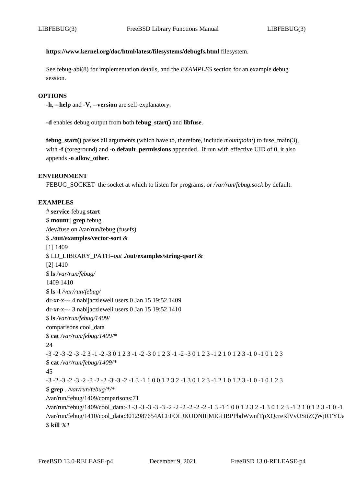## **https://www.kernel.org/doc/html/latest/filesystems/debugfs.html** filesystem.

See febug-abi(8) for implementation details, and the *EXAMPLES* section for an example debug session.

#### **OPTIONS**

**-h**, **--help** and **-V**, **--version** are self-explanatory.

**-d** enables debug output from both **febug***\_***start()** and **libfuse**.

**febug** start() passes all arguments (which have to, therefore, include *mountpoint*) to fuse main(3), with **-f** (foreground) and **-o default permissions** appended. If run with effective UID of **0**, it also appends **-o allow***\_***other**.

#### **ENVIRONMENT**

FEBUG\_SOCKET the socket at which to listen for programs, or */var/run/febug.sock* by default.

## **EXAMPLES**

# **service** febug **start** \$ **mount** | **grep** febug /dev/fuse on /var/run/febug (fusefs) \$ **./out/examples/vector-sort** & [1] 1409 \$ LD\_LIBRARY\_PATH=*out* **./out/examples/string-qsort** & [2] 1410 \$ **ls** */var/run/febug/* 1409 1410 \$ **ls -l** */var/run/febug/* dr-xr-x--- 4 nabijaczleweli users 0 Jan 15 19:52 1409 dr-xr-x--- 3 nabijaczleweli users 0 Jan 15 19:52 1410 \$ **ls** */var/run/febug/1409/* comparisons cool\_data \$ **cat** */var/run/febug/1409/\** 24 -3 -2 -3 -2 -3 -2 3 -1 -2 -3 0 1 2 3 -1 -2 -3 0 1 2 3 -1 -2 -3 0 1 2 3 -1 2 1 0 1 2 3 -1 0 -1 0 1 2 3 \$ **cat** */var/run/febug/1409/\** 45 -3 -2 -3 -2 -3 -2 -3 -2 -2 -3 -3 -2 -1 3 -1 1 0 0 1 2 3 2 -1 3 0 1 2 3 -1 2 1 0 1 2 3 -1 0 -1 0 1 2 3 \$ **grep** . */var/run/febug/\*/\** /var/run/febug/1409/comparisons:71 /var/run/febug/1409/cool\_data:-3 -3 -3 -3 -3 -3 -2 -2 -2 -2 -2 -2 -1 3 -1 1 0 0 1 2 3 2 -1 3 0 1 2 3 -1 2 1 0 1 2 3 -1 0 -1 0 /var/run/febug/1410/cool\_data:3012987654ACEFOLJKODNIEMIGHBPPbdWwnfTpXQcreRlVvUSitZQWjRTYUa \$ **kill** *%1*